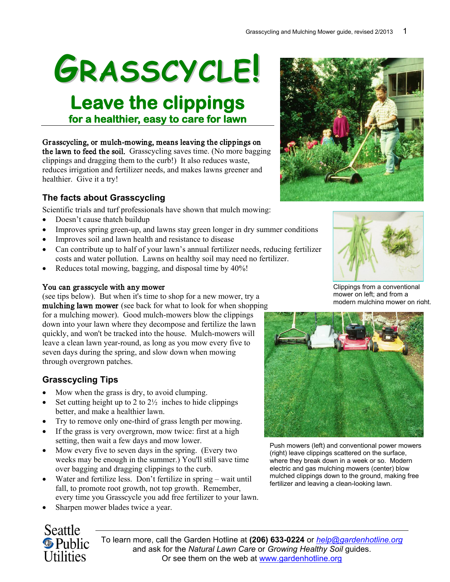# **GRASSCYCLE!**

**Leave the clippings for a healthier, easy to care for lawn** 

Grasscycling, or mulch-mowing, means leaving the clippings on the lawn to feed the soil. Grasscycling saves time. (No more bagging clippings and dragging them to the curb!) It also reduces waste, reduces irrigation and fertilizer needs, and makes lawns greener and healthier. Give it a try!

# **The facts about Grasscycling**

Scientific trials and turf professionals have shown that mulch mowing:

- Doesn't cause thatch buildup
- Improves spring green-up, and lawns stay green longer in dry summer conditions
- Improves soil and lawn health and resistance to disease
- Can contribute up to half of your lawn's annual fertilizer needs, reducing fertilizer costs and water pollution. Lawns on healthy soil may need no fertilizer.
- Reduces total mowing, bagging, and disposal time by  $40\%$ !

#### You can grasscycle with any mower

(see tips below). But when it's time to shop for a new mower, try a mulching lawn mower (see back for what to look for when shopping for a mulching mower). Good mulch-mowers blow the clippings down into your lawn where they decompose and fertilize the lawn quickly, and won't be tracked into the house. Mulch-mowers will leave a clean lawn year-round, as long as you mow every five to seven days during the spring, and slow down when mowing through overgrown patches.

# **Grasscycling Tips**

- Mow when the grass is dry, to avoid clumping.
- Set cutting height up to  $2 \text{ to } 2\frac{1}{2}$  inches to hide clippings better, and make a healthier lawn.
- Try to remove only one-third of grass length per mowing.
- If the grass is very overgrown, mow twice: first at a high setting, then wait a few days and mow lower.
- Mow every five to seven days in the spring. (Every two weeks may be enough in the summer.) You'll still save time over bagging and dragging clippings to the curb.
- Water and fertilize less. Don't fertilize in spring wait until fall, to promote root growth, not top growth. Remember, every time you Grasscycle you add free fertilizer to your lawn.
- Sharpen mower blades twice a year.



To learn more, call the Garden Hotline at **(206) 633-0224** or *[help@gardenhotline.org](mailto:help@gardenhotline.org)* and ask for the *Natural Lawn Care* or *Growing Healthy Soil* guides. Or see them on the web at [www.gardenhotline.org](http://www.gardenhotline.org/)





Clippings from a conventional mower on left; and from a modern mulching mower on right.



Push mowers (left) and conventional power mowers (right) leave clippings scattered on the surface, where they break down in a week or so. Modern electric and gas mulching mowers (center) blow mulched clippings down to the ground, making free fertilizer and leaving a clean-looking lawn.